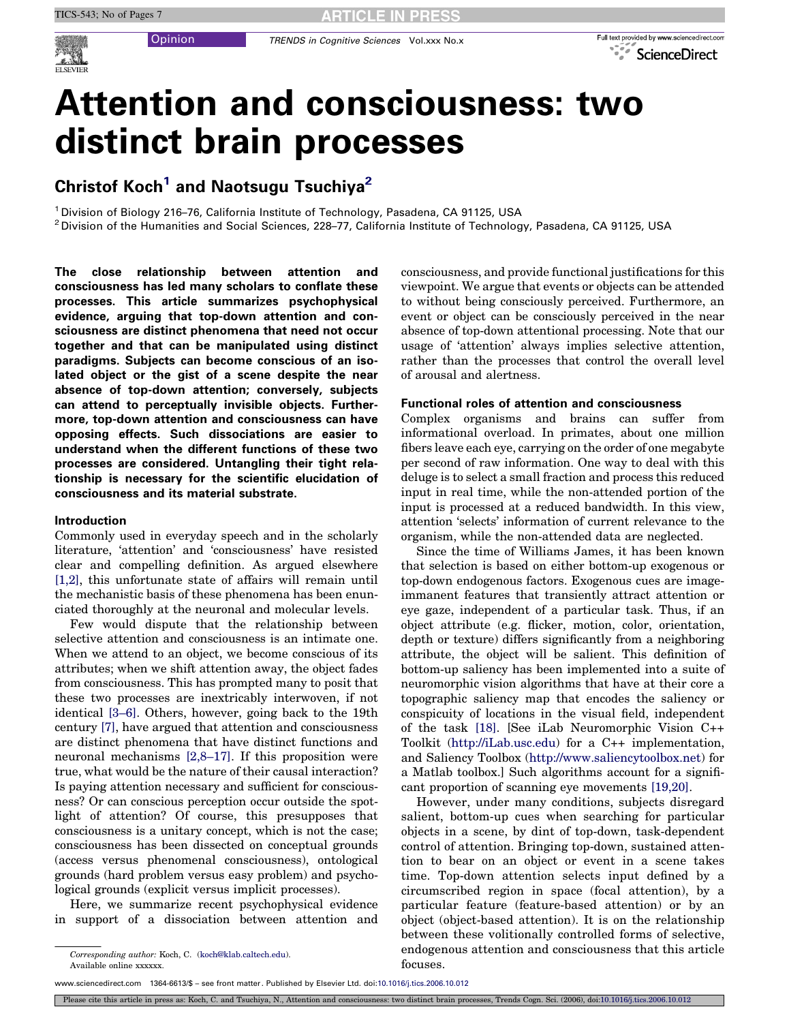

# Attention and consciousness: two distinct brain processes

# Christof Koch<sup>1</sup> and Naotsugu Tsuchiya<sup>2</sup>

<sup>1</sup> Division of Biology 216–76, California Institute of Technology, Pasadena, CA 91125, USA

 $2$  Division of the Humanities and Social Sciences, 228-77, California Institute of Technology, Pasadena, CA 91125, USA

The close relationship between attention and consciousness has led many scholars to conflate these processes. This article summarizes psychophysical evidence, arguing that top-down attention and consciousness are distinct phenomena that need not occur together and that can be manipulated using distinct paradigms. Subjects can become conscious of an isolated object or the gist of a scene despite the near absence of top-down attention; conversely, subjects can attend to perceptually invisible objects. Furthermore, top-down attention and consciousness can have opposing effects. Such dissociations are easier to understand when the different functions of these two processes are considered. Untangling their tight relationship is necessary for the scientific elucidation of consciousness and its material substrate.

#### Introduction

Commonly used in everyday speech and in the scholarly literature, 'attention' and 'consciousness' have resisted clear and compelling definition. As argued elsewhere [\[1,2\],](#page-5-0) this unfortunate state of affairs will remain until the mechanistic basis of these phenomena has been enunciated thoroughly at the neuronal and molecular levels.

Few would dispute that the relationship between selective attention and consciousness is an intimate one. When we attend to an object, we become conscious of its attributes; when we shift attention away, the object fades from consciousness. This has prompted many to posit that these two processes are inextricably interwoven, if not identical [\[3–6\]](#page-5-0). Others, however, going back to the 19th century [\[7\],](#page-5-0) have argued that attention and consciousness are distinct phenomena that have distinct functions and neuronal mechanisms [\[2,8–17\]](#page-5-0). If this proposition were true, what would be the nature of their causal interaction? Is paying attention necessary and sufficient for consciousness? Or can conscious perception occur outside the spotlight of attention? Of course, this presupposes that consciousness is a unitary concept, which is not the case; consciousness has been dissected on conceptual grounds (access versus phenomenal consciousness), ontological grounds (hard problem versus easy problem) and psychological grounds (explicit versus implicit processes).

Here, we summarize recent psychophysical evidence in support of a dissociation between attention and

consciousness, and provide functional justifications for this viewpoint. We argue that events or objects can be attended to without being consciously perceived. Furthermore, an event or object can be consciously perceived in the near absence of top-down attentional processing. Note that our usage of 'attention' always implies selective attention, rather than the processes that control the overall level of arousal and alertness.

#### Functional roles of attention and consciousness

Complex organisms and brains can suffer from informational overload. In primates, about one million fibers leave each eye, carrying on the order of one megabyte per second of raw information. One way to deal with this deluge is to select a small fraction and process this reduced input in real time, while the non-attended portion of the input is processed at a reduced bandwidth. In this view, attention 'selects' information of current relevance to the organism, while the non-attended data are neglected.

Since the time of Williams James, it has been known that selection is based on either bottom-up exogenous or top-down endogenous factors. Exogenous cues are imageimmanent features that transiently attract attention or eye gaze, independent of a particular task. Thus, if an object attribute (e.g. flicker, motion, color, orientation, depth or texture) differs significantly from a neighboring attribute, the object will be salient. This definition of bottom-up saliency has been implemented into a suite of neuromorphic vision algorithms that have at their core a topographic saliency map that encodes the saliency or conspicuity of locations in the visual field, independent of the task [\[18\].](#page-5-0) [See iLab Neuromorphic Vision C++ Toolkit ([http://iLab.usc.edu\)](http://ilab.usc.edu/) for a C++ implementation, and Saliency Toolbox [\(http://www.saliencytoolbox.net](http://www.saliencytoolbox.net/)) for a Matlab toolbox.] Such algorithms account for a significant proportion of scanning eye movements [\[19,20\]](#page-5-0).

However, under many conditions, subjects disregard salient, bottom-up cues when searching for particular objects in a scene, by dint of top-down, task-dependent control of attention. Bringing top-down, sustained attention to bear on an object or event in a scene takes time. Top-down attention selects input defined by a circumscribed region in space (focal attention), by a particular feature (feature-based attention) or by an object (object-based attention). It is on the relationship between these volitionally controlled forms of selective, endogenous attention and consciousness that this article focuses.

Corresponding author: Koch, C. [\(koch@klab.caltech.edu\)](mailto:koch@klab.caltech.edu). Available online xxxxxx.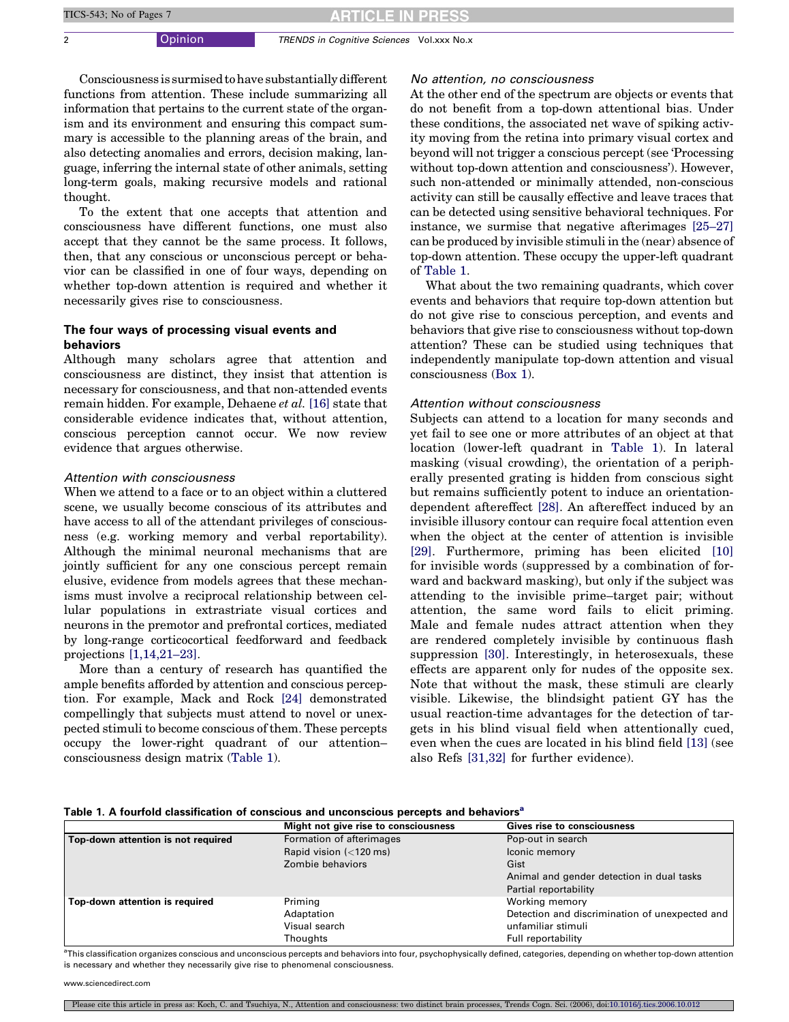<span id="page-1-0"></span>2 **Opinion** TRENDS in Cognitive Sciences Vol.xxx No.x

Consciousness is surmised to have substantially different functions from attention. These include summarizing all information that pertains to the current state of the organism and its environment and ensuring this compact summary is accessible to the planning areas of the brain, and also detecting anomalies and errors, decision making, language, inferring the internal state of other animals, setting long-term goals, making recursive models and rational thought.

To the extent that one accepts that attention and consciousness have different functions, one must also accept that they cannot be the same process. It follows, then, that any conscious or unconscious percept or behavior can be classified in one of four ways, depending on whether top-down attention is required and whether it necessarily gives rise to consciousness.

## The four ways of processing visual events and behaviors

Although many scholars agree that attention and consciousness are distinct, they insist that attention is necessary for consciousness, and that non-attended events remain hidden. For example, Dehaene et al. [\[16\]](#page-5-0) state that considerable evidence indicates that, without attention, conscious perception cannot occur. We now review evidence that argues otherwise.

#### Attention with consciousness

When we attend to a face or to an object within a cluttered scene, we usually become conscious of its attributes and have access to all of the attendant privileges of consciousness (e.g. working memory and verbal reportability). Although the minimal neuronal mechanisms that are jointly sufficient for any one conscious percept remain elusive, evidence from models agrees that these mechanisms must involve a reciprocal relationship between cellular populations in extrastriate visual cortices and neurons in the premotor and prefrontal cortices, mediated by long-range corticocortical feedforward and feedback projections [\[1,14,21–23\]](#page-5-0).

More than a century of research has quantified the ample benefits afforded by attention and conscious perception. For example, Mack and Rock [\[24\]](#page-5-0) demonstrated compellingly that subjects must attend to novel or unexpected stimuli to become conscious of them. These percepts occupy the lower-right quadrant of our attention– consciousness design matrix (Table 1).

#### No attention, no consciousness

At the other end of the spectrum are objects or events that do not benefit from a top-down attentional bias. Under these conditions, the associated net wave of spiking activity moving from the retina into primary visual cortex and beyond will not trigger a conscious percept (see 'Processing without top-down attention and consciousness'). However, such non-attended or minimally attended, non-conscious activity can still be causally effective and leave traces that can be detected using sensitive behavioral techniques. For instance, we surmise that negative afterimages [\[25–27\]](#page-5-0) can be produced by invisible stimuli in the (near) absence of top-down attention. These occupy the upper-left quadrant of Table 1.

What about the two remaining quadrants, which cover events and behaviors that require top-down attention but do not give rise to conscious perception, and events and behaviors that give rise to consciousness without top-down attention? These can be studied using techniques that independently manipulate top-down attention and visual consciousness ([Box 1\)](#page-2-0).

#### Attention without consciousness

Subjects can attend to a location for many seconds and yet fail to see one or more attributes of an object at that location (lower-left quadrant in Table 1). In lateral masking (visual crowding), the orientation of a peripherally presented grating is hidden from conscious sight but remains sufficiently potent to induce an orientationdependent aftereffect [\[28\]](#page-5-0). An aftereffect induced by an invisible illusory contour can require focal attention even when the object at the center of attention is invisible [\[29\].](#page-5-0) Furthermore, priming has been elicited [\[10\]](#page-5-0) for invisible words (suppressed by a combination of forward and backward masking), but only if the subject was attending to the invisible prime–target pair; without attention, the same word fails to elicit priming. Male and female nudes attract attention when they are rendered completely invisible by continuous flash suppression [\[30\].](#page-5-0) Interestingly, in heterosexuals, these effects are apparent only for nudes of the opposite sex. Note that without the mask, these stimuli are clearly visible. Likewise, the blindsight patient GY has the usual reaction-time advantages for the detection of targets in his blind visual field when attentionally cued, even when the cues are located in his blind field [\[13\]](#page-5-0) (see also Refs [\[31,32\]](#page-5-0) for further evidence).

|  |  | Table 1. A fourfold classification of conscious and unconscious percepts and behaviors <sup>a</sup> |  |
|--|--|-----------------------------------------------------------------------------------------------------|--|
|  |  |                                                                                                     |  |

|                                    | Might not give rise to consciousness                                     | <b>Gives rise to consciousness</b>             |
|------------------------------------|--------------------------------------------------------------------------|------------------------------------------------|
| Top-down attention is not required | Formation of afterimages                                                 | Pop-out in search                              |
|                                    | Rapid vision $\left\langle \langle 120 \text{ ms} \rangle \right\rangle$ | Iconic memory                                  |
|                                    | Zombie behaviors                                                         | Gist                                           |
|                                    |                                                                          | Animal and gender detection in dual tasks      |
|                                    |                                                                          | Partial reportability                          |
| Top-down attention is required     | Priming                                                                  | Working memory                                 |
|                                    | Adaptation                                                               | Detection and discrimination of unexpected and |
|                                    | Visual search                                                            | unfamiliar stimuli                             |
|                                    | Thoughts                                                                 | Full reportability                             |

<sup>a</sup>This classification organizes conscious and unconscious percepts and behaviors into four, psychophysically defined, categories, depending on whether top-down attention is necessary and whether they necessarily give rise to phenomenal consciousness.

www.sciencedirect.com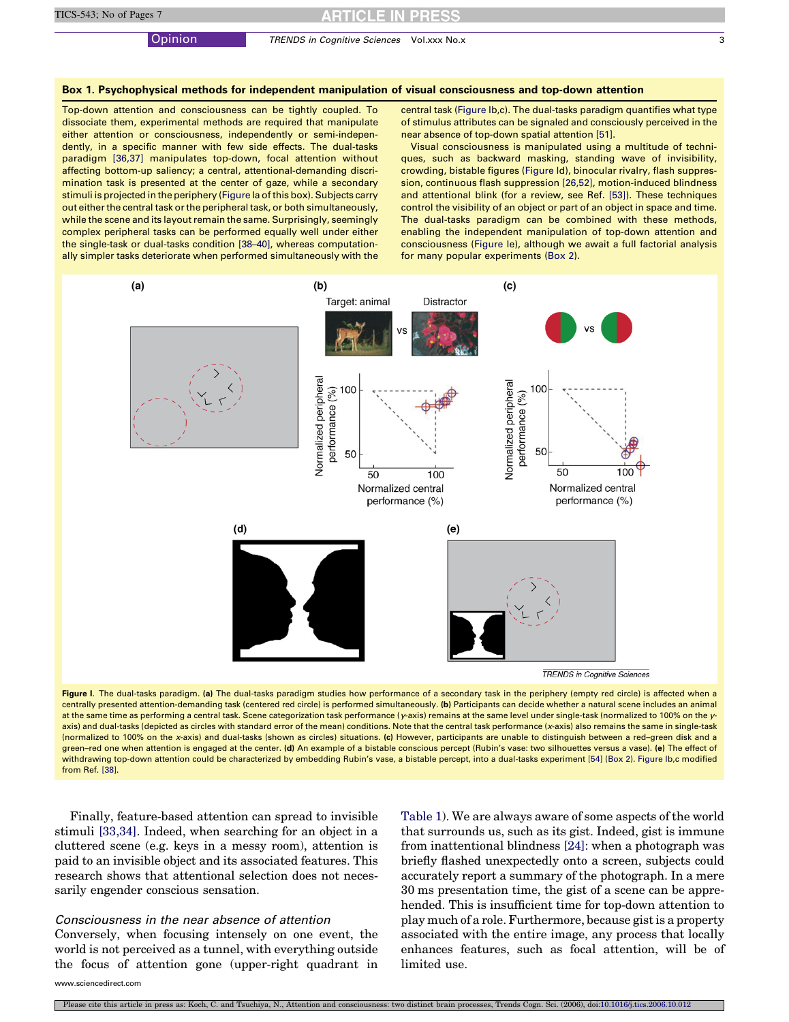Opinion TRENDS in Cognitive Sciences Vol.xxx No.x 3

#### <span id="page-2-0"></span>Box 1. Psychophysical methods for independent manipulation of visual consciousness and top-down attention

Top-down attention and consciousness can be tightly coupled. To dissociate them, experimental methods are required that manipulate either attention or consciousness, independently or semi-independently, in a specific manner with few side effects. The dual-tasks paradigm [\[36,37\]](#page-5-0) manipulates top-down, focal attention without affecting bottom-up saliency; a central, attentional-demanding discrimination task is presented at the center of gaze, while a secondary stimuli is projected in the periphery (Figure Ia of this box). Subjects carry out either the central task or the peripheral task, or both simultaneously, while the scene and its layout remain the same. Surprisingly, seemingly complex peripheral tasks can be performed equally well under either the single-task or dual-tasks condition [\[38–40\],](#page-5-0) whereas computationally simpler tasks deteriorate when performed simultaneously with the

central task (Figure Ib,c). The dual-tasks paradigm quantifies what type of stimulus attributes can be signaled and consciously perceived in the near absence of top-down spatial attention [\[51\].](#page-6-0)

Visual consciousness is manipulated using a multitude of techniques, such as backward masking, standing wave of invisibility, crowding, bistable figures (Figure Id), binocular rivalry, flash suppression, continuous flash suppression [\[26,52\]](#page-5-0), motion-induced blindness and attentional blink (for a review, see Ref. [\[53\]](#page-6-0)). These techniques control the visibility of an object or part of an object in space and time. The dual-tasks paradigm can be combined with these methods, enabling the independent manipulation of top-down attention and consciousness (Figure Ie), although we await a full factorial analysis for many popular experiments [\(Box 2\)](#page-4-0).



Figure I. The dual-tasks paradigm. (a) The dual-tasks paradigm studies how performance of a secondary task in the periphery (empty red circle) is affected when a centrally presented attention-demanding task (centered red circle) is performed simultaneously. (b) Participants can decide whether a natural scene includes an animal at the same time as performing a central task. Scene categorization task performance (y-axis) remains at the same level under single-task (normalized to 100% on the yaxis) and dual-tasks (depicted as circles with standard error of the mean) conditions. Note that the central task performance (x-axis) also remains the same in single-task (normalized to 100% on the x-axis) and dual-tasks (shown as circles) situations. (c) However, participants are unable to distinguish between a red–green disk and a green-red one when attention is engaged at the center. (d) An example of a bistable conscious percept (Rubin's vase: two silhouettes versus a vase). (e) The effect of withdrawing top-down attention could be characterized by embedding Rubin's vase, a bistable percept, into a dual-tasks experiment [\[54\]](#page-6-0) [\(Box 2](#page-4-0)). Figure Ib,c modified from Ref. [\[38\].](#page-5-0)

Finally, feature-based attention can spread to invisible stimuli [\[33,34\]](#page-5-0). Indeed, when searching for an object in a cluttered scene (e.g. keys in a messy room), attention is paid to an invisible object and its associated features. This research shows that attentional selection does not necessarily engender conscious sensation.

## Consciousness in the near absence of attention Conversely, when focusing intensely on one event, the world is not perceived as a tunnel, with everything outside the focus of attention gone (upper-right quadrant in

[Table 1](#page-1-0)). We are always aware of some aspects of the world that surrounds us, such as its gist. Indeed, gist is immune from inattentional blindness [\[24\]](#page-5-0): when a photograph was briefly flashed unexpectedly onto a screen, subjects could accurately report a summary of the photograph. In a mere 30 ms presentation time, the gist of a scene can be apprehended. This is insufficient time for top-down attention to play much of a role. Furthermore, because gist is a property associated with the entire image, any process that locally enhances features, such as focal attention, will be of limited use.

www.sciencedirect.com

ase cite this article in press as: Koch, C. and Tsuchiya, N., Attention and consciousness: two distinct brain processes, Trends Cogn. Sci. (2006), doi:10.1016/j.tics.2006.10.01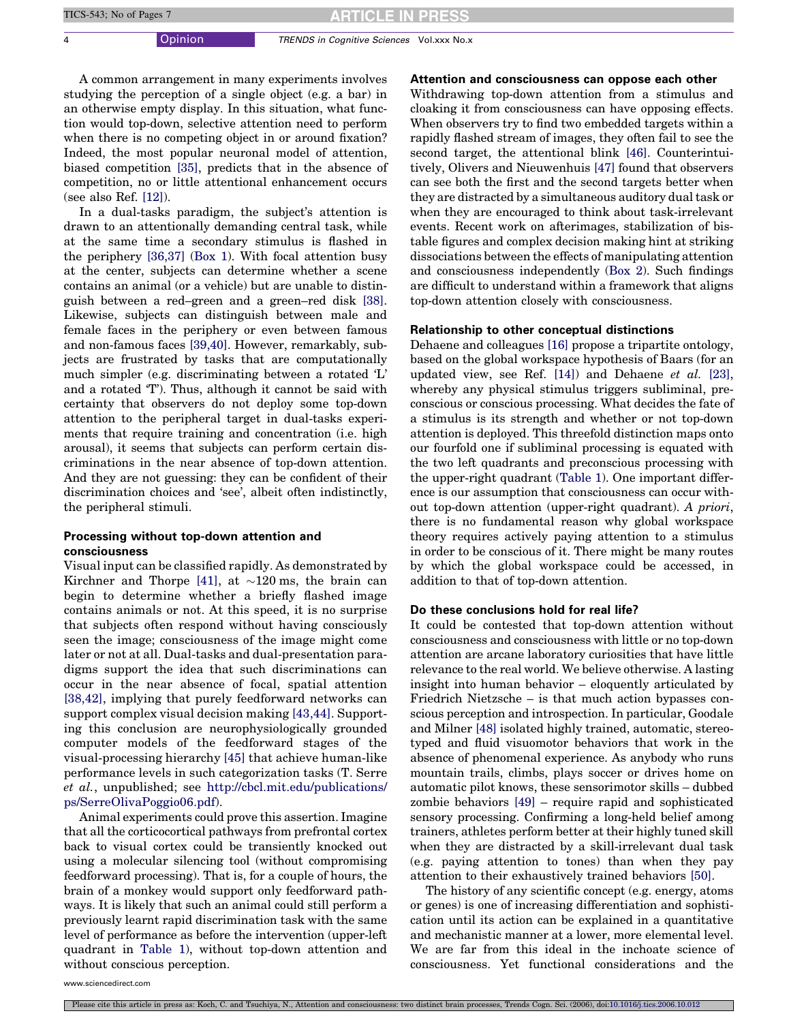## **RTICLE IN PRESS**

4 Opinion TRENDS in Cognitive Sciences Vol.xxx No.x

A common arrangement in many experiments involves studying the perception of a single object (e.g. a bar) in an otherwise empty display. In this situation, what function would top-down, selective attention need to perform when there is no competing object in or around fixation? Indeed, the most popular neuronal model of attention, biased competition [\[35\],](#page-5-0) predicts that in the absence of competition, no or little attentional enhancement occurs (see also Ref. [\[12\]\)](#page-5-0).

In a dual-tasks paradigm, the subject's attention is drawn to an attentionally demanding central task, while at the same time a secondary stimulus is flashed in the periphery [\[36,37\]](#page-5-0) ([Box 1\)](#page-2-0). With focal attention busy at the center, subjects can determine whether a scene contains an animal (or a vehicle) but are unable to distinguish between a red–green and a green–red disk [\[38\]](#page-5-0). Likewise, subjects can distinguish between male and female faces in the periphery or even between famous and non-famous faces [\[39,40\].](#page-5-0) However, remarkably, subjects are frustrated by tasks that are computationally much simpler (e.g. discriminating between a rotated 'L' and a rotated 'T'). Thus, although it cannot be said with certainty that observers do not deploy some top-down attention to the peripheral target in dual-tasks experiments that require training and concentration (i.e. high arousal), it seems that subjects can perform certain discriminations in the near absence of top-down attention. And they are not guessing: they can be confident of their discrimination choices and 'see', albeit often indistinctly, the peripheral stimuli.

### Processing without top-down attention and consciousness

Visual input can be classified rapidly. As demonstrated by Kirchner and Thorpe [\[41\]](#page-5-0), at  ${\sim}120\,\mathrm{ms},$  the brain can begin to determine whether a briefly flashed image contains animals or not. At this speed, it is no surprise that subjects often respond without having consciously seen the image; consciousness of the image might come later or not at all. Dual-tasks and dual-presentation paradigms support the idea that such discriminations can occur in the near absence of focal, spatial attention [\[38,42\],](#page-5-0) implying that purely feedforward networks can support complex visual decision making [\[43,44\]](#page-5-0). Supporting this conclusion are neurophysiologically grounded computer models of the feedforward stages of the visual-processing hierarchy [\[45\]](#page-6-0) that achieve human-like performance levels in such categorization tasks (T. Serre et al., unpublished; see [http://cbcl.mit.edu/publications/](http://cbcl.mit.edu/publications/ps/SerreOlivaPoggio06.pdf) [ps/SerreOlivaPoggio06.pdf](http://cbcl.mit.edu/publications/ps/SerreOlivaPoggio06.pdf)).

Animal experiments could prove this assertion. Imagine that all the corticocortical pathways from prefrontal cortex back to visual cortex could be transiently knocked out using a molecular silencing tool (without compromising feedforward processing). That is, for a couple of hours, the brain of a monkey would support only feedforward pathways. It is likely that such an animal could still perform a previously learnt rapid discrimination task with the same level of performance as before the intervention (upper-left quadrant in [Table 1](#page-1-0)), without top-down attention and without conscious perception.

Attention and consciousness can oppose each other

Withdrawing top-down attention from a stimulus and cloaking it from consciousness can have opposing effects. When observers try to find two embedded targets within a rapidly flashed stream of images, they often fail to see the second target, the attentional blink [\[46\].](#page-6-0) Counterintuitively, Olivers and Nieuwenhuis [\[47\]](#page-6-0) found that observers can see both the first and the second targets better when they are distracted by a simultaneous auditory dual task or when they are encouraged to think about task-irrelevant events. Recent work on afterimages, stabilization of bistable figures and complex decision making hint at striking dissociations between the effects of manipulating attention and consciousness independently ([Box 2](#page-4-0)). Such findings are difficult to understand within a framework that aligns top-down attention closely with consciousness.

#### Relationship to other conceptual distinctions

Dehaene and colleagues [\[16\]](#page-5-0) propose a tripartite ontology, based on the global workspace hypothesis of Baars (for an updated view, see Ref. [\[14\]\)](#page-5-0) and Dehaene et al. [\[23\]](#page-5-0), whereby any physical stimulus triggers subliminal, preconscious or conscious processing. What decides the fate of a stimulus is its strength and whether or not top-down attention is deployed. This threefold distinction maps onto our fourfold one if subliminal processing is equated with the two left quadrants and preconscious processing with the upper-right quadrant ([Table 1](#page-1-0)). One important difference is our assumption that consciousness can occur without top-down attention (upper-right quadrant). A priori, there is no fundamental reason why global workspace theory requires actively paying attention to a stimulus in order to be conscious of it. There might be many routes by which the global workspace could be accessed, in addition to that of top-down attention.

#### Do these conclusions hold for real life?

It could be contested that top-down attention without consciousness and consciousness with little or no top-down attention are arcane laboratory curiosities that have little relevance to the real world. We believe otherwise. A lasting insight into human behavior – eloquently articulated by Friedrich Nietzsche – is that much action bypasses conscious perception and introspection. In particular, Goodale and Milner [\[48\]](#page-6-0) isolated highly trained, automatic, stereotyped and fluid visuomotor behaviors that work in the absence of phenomenal experience. As anybody who runs mountain trails, climbs, plays soccer or drives home on automatic pilot knows, these sensorimotor skills – dubbed zombie behaviors [\[49\]](#page-6-0) – require rapid and sophisticated sensory processing. Confirming a long-held belief among trainers, athletes perform better at their highly tuned skill when they are distracted by a skill-irrelevant dual task (e.g. paying attention to tones) than when they pay attention to their exhaustively trained behaviors [\[50\].](#page-6-0)

The history of any scientific concept (e.g. energy, atoms or genes) is one of increasing differentiation and sophistication until its action can be explained in a quantitative and mechanistic manner at a lower, more elemental level. We are far from this ideal in the inchoate science of consciousness. Yet functional considerations and the

www.sciencedirect.com

Please cite this article in press as: Koch, C. and Tsuchiya, N., Attention and consciousness: two distinct brain processes, Trends Cogn. Sci. (2006), doi[:10.1016/j.tics.2006.10.012](http://dx.doi.org/10.1016/j.tics.2006.10.012)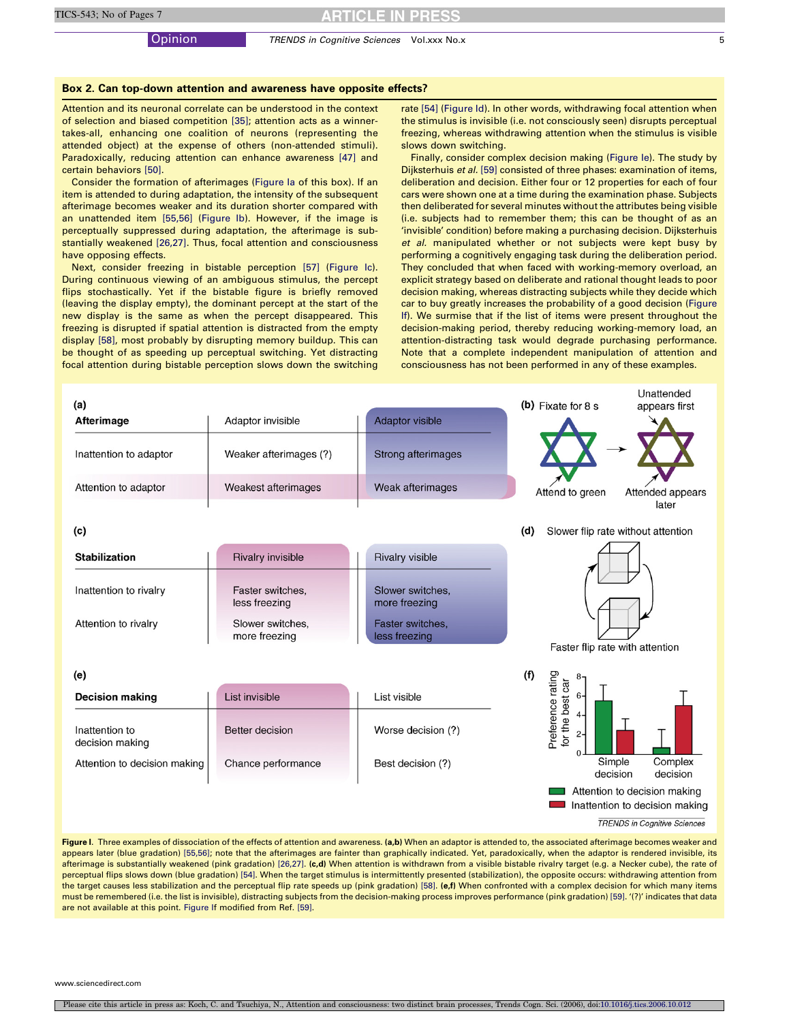#### <span id="page-4-0"></span>Box 2. Can top-down attention and awareness have opposite effects?

Attention and its neuronal correlate can be understood in the context of selection and biased competition [\[35\];](#page-5-0) attention acts as a winnertakes-all, enhancing one coalition of neurons (representing the attended object) at the expense of others (non-attended stimuli). Paradoxically, reducing attention can enhance awareness [\[47\]](#page-6-0) and certain behaviors [\[50\]](#page-6-0).

Consider the formation of afterimages (Figure Ia of this box). If an item is attended to during adaptation, the intensity of the subsequent afterimage becomes weaker and its duration shorter compared with an unattended item [\[55,56\]](#page-6-0) (Figure Ib). However, if the image is perceptually suppressed during adaptation, the afterimage is substantially weakened [\[26,27\].](#page-5-0) Thus, focal attention and consciousness have opposing effects.

Next, consider freezing in bistable perception [\[57\]](#page-6-0) (Figure Ic). During continuous viewing of an ambiguous stimulus, the percept flips stochastically. Yet if the bistable figure is briefly removed (leaving the display empty), the dominant percept at the start of the new display is the same as when the percept disappeared. This freezing is disrupted if spatial attention is distracted from the empty display [\[58\]](#page-6-0), most probably by disrupting memory buildup. This can be thought of as speeding up perceptual switching. Yet distracting focal attention during bistable perception slows down the switching

rate [\[54\]](#page-6-0) (Figure Id). In other words, withdrawing focal attention when the stimulus is invisible (i.e. not consciously seen) disrupts perceptual freezing, whereas withdrawing attention when the stimulus is visible slows down switching.

Finally, consider complex decision making (Figure Ie). The study by Dijksterhuis et al. [\[59\]](#page-6-0) consisted of three phases: examination of items, deliberation and decision. Either four or 12 properties for each of four cars were shown one at a time during the examination phase. Subjects then deliberated for several minutes without the attributes being visible (i.e. subjects had to remember them; this can be thought of as an 'invisible' condition) before making a purchasing decision. Dijksterhuis et al. manipulated whether or not subjects were kept busy by performing a cognitively engaging task during the deliberation period. They concluded that when faced with working-memory overload, an explicit strategy based on deliberate and rational thought leads to poor decision making, whereas distracting subjects while they decide which car to buy greatly increases the probability of a good decision (Figure If). We surmise that if the list of items were present throughout the decision-making period, thereby reducing working-memory load, an attention-distracting task would degrade purchasing performance. Note that a complete independent manipulation of attention and consciousness has not been performed in any of these examples.

| (a)                                                       |                                         |                                   | Unattended<br>(b) Fixate for $8s$<br>appears first                    |  |  |
|-----------------------------------------------------------|-----------------------------------------|-----------------------------------|-----------------------------------------------------------------------|--|--|
| Afterimage                                                | Adaptor invisible                       | <b>Adaptor visible</b>            |                                                                       |  |  |
| Weaker afterimages (?)<br>Inattention to adaptor          |                                         | Strong afterimages                |                                                                       |  |  |
| Attention to adaptor                                      | Weakest afterimages                     | Weak afterimages                  | Attend to green<br>Attended appears                                   |  |  |
|                                                           |                                         |                                   | later                                                                 |  |  |
| (c)                                                       |                                         |                                   | Slower flip rate without attention<br>(d)                             |  |  |
| <b>Stabilization</b>                                      | <b>Rivalry invisible</b>                | <b>Rivalry visible</b>            |                                                                       |  |  |
| Inattention to rivalry                                    | Faster switches,<br>less freezing       | Slower switches,<br>more freezing |                                                                       |  |  |
| Slower switches,<br>Attention to rivalry<br>more freezing |                                         | Faster switches,<br>less freezing | Faster flip rate with attention                                       |  |  |
| (e)                                                       |                                         |                                   | (f)                                                                   |  |  |
| <b>Decision making</b>                                    | List invisible                          | List visible                      | $6 -$                                                                 |  |  |
| Inattention to<br>decision making                         | <b>Better decision</b>                  | Worse decision (?)                | Preference rating<br>for the best car<br>$4-$<br>$2-$<br>$\mathbf{0}$ |  |  |
| Attention to decision making                              | Chance performance<br>Best decision (?) |                                   | Simple<br>Complex<br>decision<br>decision                             |  |  |
|                                                           |                                         |                                   | Attention to decision making<br>Inattention to decision making        |  |  |
|                                                           |                                         |                                   | <b>TRENDS in Cognitive Sciences</b>                                   |  |  |

Figure I. Three examples of dissociation of the effects of attention and awareness. (a,b) When an adaptor is attended to, the associated afterimage becomes weaker and appears later (blue gradation) [\[55,56\];](#page-6-0) note that the afterimages are fainter than graphically indicated. Yet, paradoxically, when the adaptor is rendered invisible, its afterimage is substantially weakened (pink gradation) [\[26,27\]](#page-5-0). (c,d) When attention is withdrawn from a visible bistable rivalry target (e.g. a Necker cube), the rate of perceptual flips slows down (blue gradation) [\[54\]](#page-6-0). When the target stimulus is intermittently presented (stabilization), the opposite occurs: withdrawing attention from the target causes less stabilization and the perceptual flip rate speeds up (pink gradation) [\[58\]](#page-6-0). (e,f) When confronted with a complex decision for which many items must be remembered (i.e. the list is invisible), distracting subjects from the decision-making process improves performance (pink gradation) [\[59\]](#page-6-0). '(?)' indicates that data are not available at this point. [Figure I](#page-2-0)f modified from Ref. [\[59\]](#page-6-0).

www.sciencedirect.com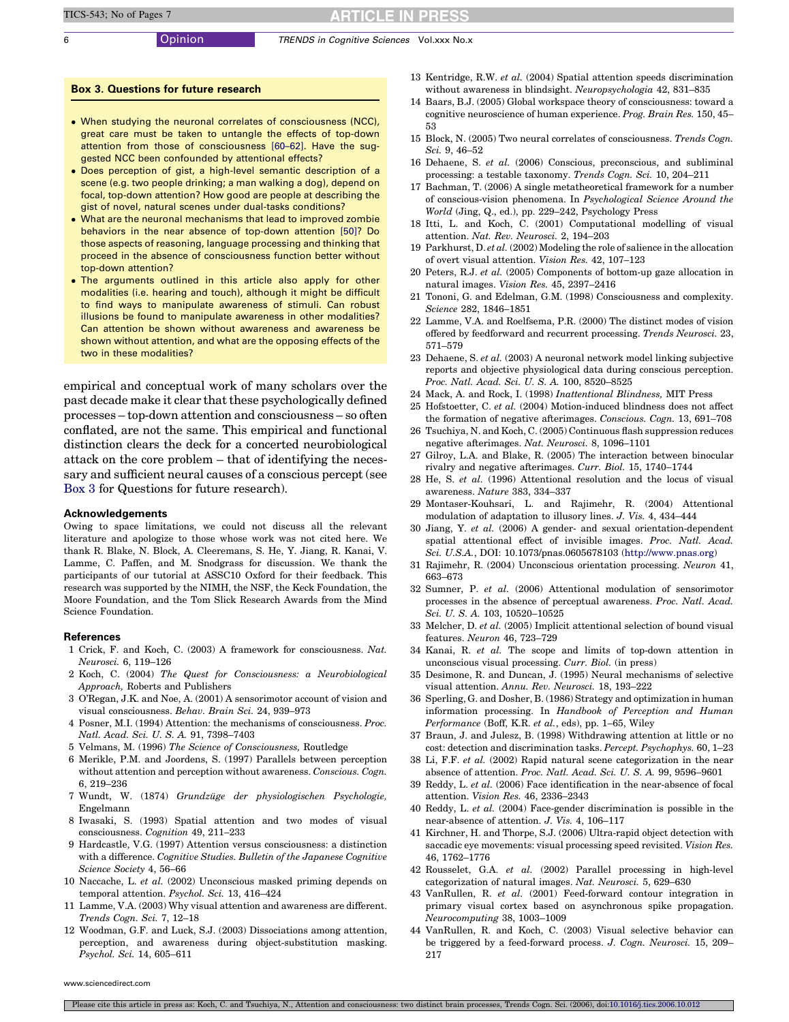# **ARTICLE IN PRESS**

#### <span id="page-5-0"></span>6 Opinion TRENDS in Cognitive Sciences Vol.xxx No.x

## Box 3. Questions for future research

- When studying the neuronal correlates of consciousness (NCC), great care must be taken to untangle the effects of top-down attention from those of consciousness [\[60–62\].](#page-6-0) Have the suggested NCC been confounded by attentional effects?
- Does perception of gist, a high-level semantic description of a scene (e.g. two people drinking; a man walking a dog), depend on focal, top-down attention? How good are people at describing the gist of novel, natural scenes under dual-tasks conditions?
- What are the neuronal mechanisms that lead to improved zombie behaviors in the near absence of top-down attention [\[50\]](#page-6-0)? Do those aspects of reasoning, language processing and thinking that proceed in the absence of consciousness function better without top-down attention?
- The arguments outlined in this article also apply for other modalities (i.e. hearing and touch), although it might be difficult to find ways to manipulate awareness of stimuli. Can robust illusions be found to manipulate awareness in other modalities? Can attention be shown without awareness and awareness be shown without attention, and what are the opposing effects of the two in these modalities?

empirical and conceptual work of many scholars over the past decade make it clear that these psychologically defined processes – top-down attention and consciousness – so often conflated, are not the same. This empirical and functional distinction clears the deck for a concerted neurobiological attack on the core problem – that of identifying the necessary and sufficient neural causes of a conscious percept (see Box 3 for Questions for future research).

#### Acknowledgements

Owing to space limitations, we could not discuss all the relevant literature and apologize to those whose work was not cited here. We thank R. Blake, N. Block, A. Cleeremans, S. He, Y. Jiang, R. Kanai, V. Lamme, C. Paffen, and M. Snodgrass for discussion. We thank the participants of our tutorial at ASSC10 Oxford for their feedback. This research was supported by the NIMH, the NSF, the Keck Foundation, the Moore Foundation, and the Tom Slick Research Awards from the Mind Science Foundation.

#### References

- 1 Crick, F. and Koch, C. (2003) A framework for consciousness. Nat. Neurosci. 6, 119–126
- 2 Koch, C. (2004) The Quest for Consciousness: a Neurobiological Approach, Roberts and Publishers
- 3 O'Regan, J.K. and Noe, A. (2001) A sensorimotor account of vision and visual consciousness. Behav. Brain Sci. 24, 939–973
- 4 Posner, M.I. (1994) Attention: the mechanisms of consciousness. Proc. Natl. Acad. Sci. U. S. A. 91, 7398–7403
- 5 Velmans, M. (1996) The Science of Consciousness, Routledge
- 6 Merikle, P.M. and Joordens, S. (1997) Parallels between perception without attention and perception without awareness. Conscious. Cogn. 6, 219–236
- 7 Wundt, W. (1874) Grundzüge der physiologischen Psychologie, Engelmann
- 8 Iwasaki, S. (1993) Spatial attention and two modes of visual consciousness. Cognition 49, 211–233
- 9 Hardcastle, V.G. (1997) Attention versus consciousness: a distinction with a difference. Cognitive Studies. Bulletin of the Japanese Cognitive Science Society 4, 56–66
- 10 Naccache, L. et al. (2002) Unconscious masked priming depends on temporal attention. Psychol. Sci. 13, 416–424
- 11 Lamme, V.A. (2003) Why visual attention and awareness are different. Trends Cogn. Sci. 7, 12–18
- 12 Woodman, G.F. and Luck, S.J. (2003) Dissociations among attention, perception, and awareness during object-substitution masking. Psychol. Sci. 14, 605–611
- 13 Kentridge, R.W. et al. (2004) Spatial attention speeds discrimination without awareness in blindsight. Neuropsychologia 42, 831–835
- 14 Baars, B.J. (2005) Global workspace theory of consciousness: toward a cognitive neuroscience of human experience. Prog. Brain Res. 150, 45– 53
- 15 Block, N. (2005) Two neural correlates of consciousness. Trends Cogn. Sci. 9, 46–52
- 16 Dehaene, S. et al. (2006) Conscious, preconscious, and subliminal processing: a testable taxonomy. Trends Cogn. Sci. 10, 204–211
- 17 Bachman, T. (2006) A single metatheoretical framework for a number of conscious-vision phenomena. In Psychological Science Around the World (Jing, Q., ed.), pp. 229–242, Psychology Press
- 18 Itti, L. and Koch, C. (2001) Computational modelling of visual attention. Nat. Rev. Neurosci. 2, 194–203
- 19 Parkhurst, D. et al. (2002) Modeling the role of salience in the allocation of overt visual attention. Vision Res. 42, 107–123
- 20 Peters, R.J. et al. (2005) Components of bottom-up gaze allocation in natural images. Vision Res. 45, 2397–2416
- 21 Tononi, G. and Edelman, G.M. (1998) Consciousness and complexity. Science 282, 1846–1851
- 22 Lamme, V.A. and Roelfsema, P.R. (2000) The distinct modes of vision offered by feedforward and recurrent processing. Trends Neurosci. 23, 571–579
- 23 Dehaene, S. et al. (2003) A neuronal network model linking subjective reports and objective physiological data during conscious perception. Proc. Natl. Acad. Sci. U. S. A. 100, 8520–8525
- 24 Mack, A. and Rock, I. (1998) Inattentional Blindness, MIT Press
- 25 Hofstoetter, C. et al. (2004) Motion-induced blindness does not affect the formation of negative afterimages. Conscious. Cogn. 13, 691–708
- 26 Tsuchiya, N. and Koch, C. (2005) Continuous flash suppression reduces negative afterimages. Nat. Neurosci. 8, 1096–1101
- 27 Gilroy, L.A. and Blake, R. (2005) The interaction between binocular rivalry and negative afterimages. Curr. Biol. 15, 1740–1744
- 28 He, S. et al. (1996) Attentional resolution and the locus of visual awareness. Nature 383, 334–337
- 29 Montaser-Kouhsari, L. and Rajimehr, R. (2004) Attentional modulation of adaptation to illusory lines. J. Vis. 4, 434–444
- 30 Jiang, Y. et al. (2006) A gender- and sexual orientation-dependent spatial attentional effect of invisible images. Proc. Natl. Acad. Sci. U.S.A., DOI: 10.1073/pnas.060567810[3 \(http://www.pnas.org\)](http://www.pnas.org/)
- 31 Rajimehr, R. (2004) Unconscious orientation processing. Neuron 41, 663–673
- 32 Sumner, P. et al. (2006) Attentional modulation of sensorimotor processes in the absence of perceptual awareness. Proc. Natl. Acad. Sci. U. S. A. 103, 10520–10525
- 33 Melcher, D. et al. (2005) Implicit attentional selection of bound visual features. Neuron 46, 723–729
- 34 Kanai, R. et al. The scope and limits of top-down attention in unconscious visual processing. Curr. Biol. (in press)
- 35 Desimone, R. and Duncan, J. (1995) Neural mechanisms of selective visual attention. Annu. Rev. Neurosci. 18, 193–222
- 36 Sperling, G. and Dosher, B. (1986) Strategy and optimization in human information processing. In Handbook of Perception and Human Performance (Boff, K.R. et al., eds), pp. 1–65, Wiley
- 37 Braun, J. and Julesz, B. (1998) Withdrawing attention at little or no cost: detection and discrimination tasks. Percept. Psychophys. 60, 1–23
- 38 Li, F.F. et al. (2002) Rapid natural scene categorization in the near absence of attention. Proc. Natl. Acad. Sci. U. S. A. 99, 9596–9601
- 39 Reddy, L. et al. (2006) Face identification in the near-absence of focal attention. Vision Res. 46, 2336–2343
- 40 Reddy, L. et al. (2004) Face-gender discrimination is possible in the near-absence of attention. J. Vis. 4, 106–117
- 41 Kirchner, H. and Thorpe, S.J. (2006) Ultra-rapid object detection with saccadic eye movements: visual processing speed revisited. Vision Res. 46, 1762–1776
- 42 Rousselet, G.A. et al. (2002) Parallel processing in high-level categorization of natural images. Nat. Neurosci. 5, 629–630
- 43 VanRullen, R. et al. (2001) Feed-forward contour integration in primary visual cortex based on asynchronous spike propagation. Neurocomputing 38, 1003–1009
- 44 VanRullen, R. and Koch, C. (2003) Visual selective behavior can be triggered by a feed-forward process. J. Cogn. Neurosci. 15, 209– 217

www.sciencedirect.com